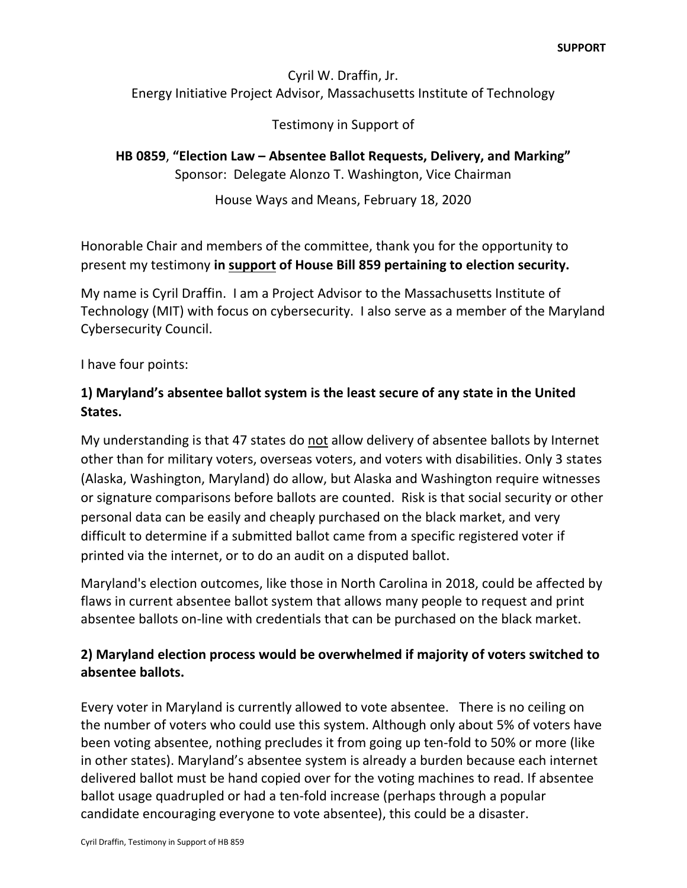## Cyril W. Draffin, Jr. Energy Initiative Project Advisor, Massachusetts Institute of Technology

## Testimony in Support of

**HB 0859**, **"Election Law – Absentee Ballot Requests, Delivery, and Marking"** Sponsor: Delegate Alonzo T. Washington, Vice Chairman

House Ways and Means, February 18, 2020

Honorable Chair and members of the committee, thank you for the opportunity to present my testimony **in support of House Bill 859 pertaining to election security.** 

My name is Cyril Draffin. I am a Project Advisor to the Massachusetts Institute of Technology (MIT) with focus on cybersecurity. I also serve as a member of the Maryland Cybersecurity Council.

I have four points:

# **1) Maryland's absentee ballot system is the least secure of any state in the United States.**

My understanding is that 47 states do not allow delivery of absentee ballots by Internet other than for military voters, overseas voters, and voters with disabilities. Only 3 states (Alaska, Washington, Maryland) do allow, but Alaska and Washington require witnesses or signature comparisons before ballots are counted. Risk is that social security or other personal data can be easily and cheaply purchased on the black market, and very difficult to determine if a submitted ballot came from a specific registered voter if printed via the internet, or to do an audit on a disputed ballot.

Maryland's election outcomes, like those in North Carolina in 2018, could be affected by flaws in current absentee ballot system that allows many people to request and print absentee ballots on-line with credentials that can be purchased on the black market.

## **2) Maryland election process would be overwhelmed if majority of voters switched to absentee ballots.**

Every voter in Maryland is currently allowed to vote absentee. There is no ceiling on the number of voters who could use this system. Although only about 5% of voters have been voting absentee, nothing precludes it from going up ten-fold to 50% or more (like in other states). Maryland's absentee system is already a burden because each internet delivered ballot must be hand copied over for the voting machines to read. If absentee ballot usage quadrupled or had a ten-fold increase (perhaps through a popular candidate encouraging everyone to vote absentee), this could be a disaster.